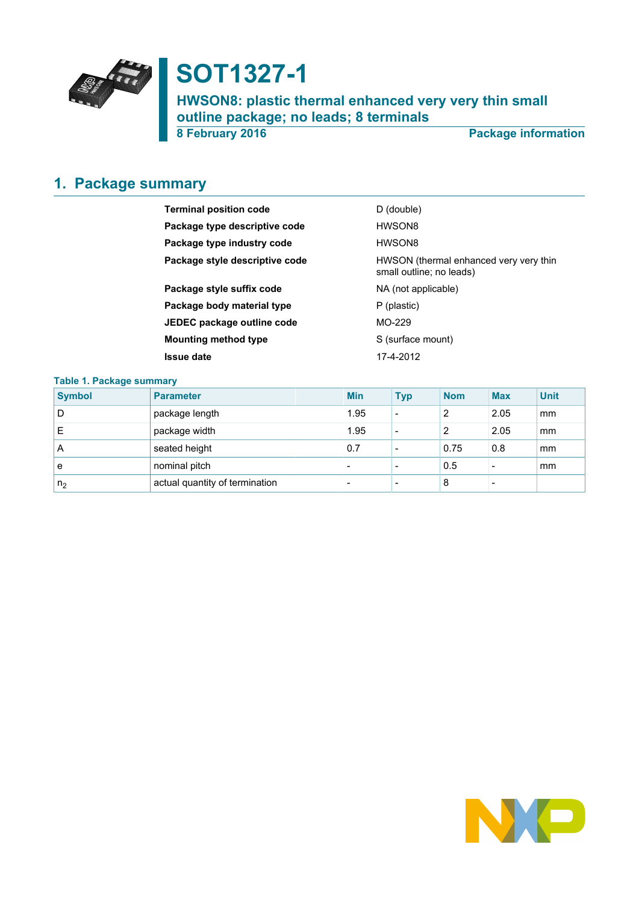

# **SOT1327-1**

**HWSON8: plastic thermal enhanced very very thin small outline package; no leads; 8 terminals**

**8 February 2016 Package information**

# <span id="page-0-0"></span>**1. Package summary**

| <b>Terminal position code</b>  | D (double)                                                         |
|--------------------------------|--------------------------------------------------------------------|
| Package type descriptive code  | HWSON8                                                             |
| Package type industry code     | HWSON8                                                             |
| Package style descriptive code | HWSON (thermal enhanced very very thin<br>small outline; no leads) |
| Package style suffix code      | NA (not applicable)                                                |
| Package body material type     | P (plastic)                                                        |
| JEDEC package outline code     | MO-229                                                             |
| <b>Mounting method type</b>    | S (surface mount)                                                  |
| <b>Issue date</b>              | 17-4-2012                                                          |

### **Table 1. Package summary**

| <b>Symbol</b>  | <b>Parameter</b>               | <b>Min</b>               | <b>Typ</b>               | <b>Nom</b> | <b>Max</b> | <b>Unit</b> |
|----------------|--------------------------------|--------------------------|--------------------------|------------|------------|-------------|
| D              | package length                 | 1.95                     | $\overline{\phantom{0}}$ | 2          | 2.05       | mm          |
| E              | package width                  | 1.95                     | $\overline{\phantom{0}}$ | っ          | 2.05       | mm          |
| A              | seated height                  | 0.7                      |                          | 0.75       | 0.8        | mm          |
| e              | nominal pitch                  | $\overline{\phantom{0}}$ |                          | 0.5        | -          | mm          |
| n <sub>2</sub> | actual quantity of termination | $\overline{\phantom{0}}$ |                          | 8          |            |             |

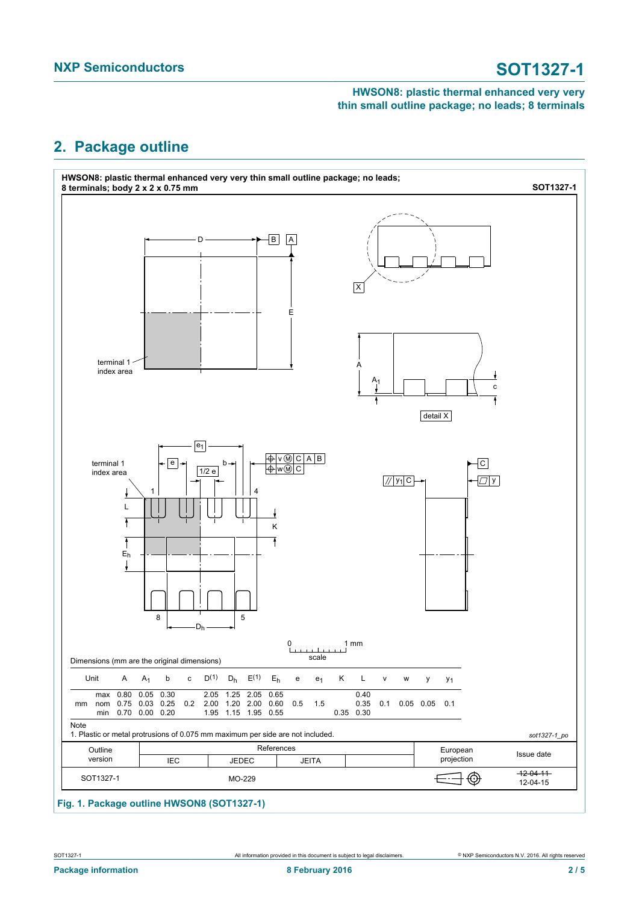# <span id="page-1-0"></span>**2. Package outline**



# **Fig. 1. Package outline HWSON8 (SOT1327-1)**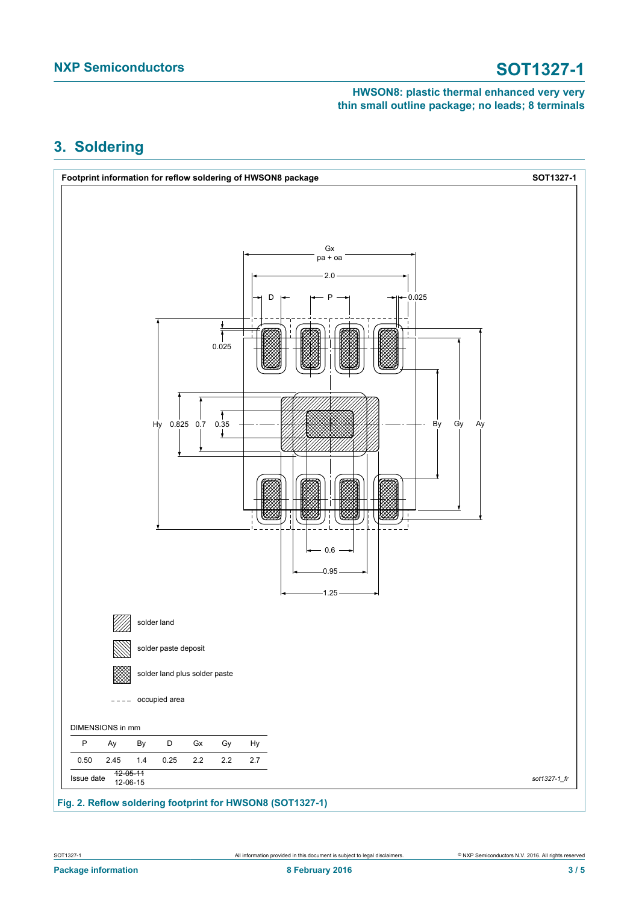# <span id="page-2-0"></span>**3. Soldering**

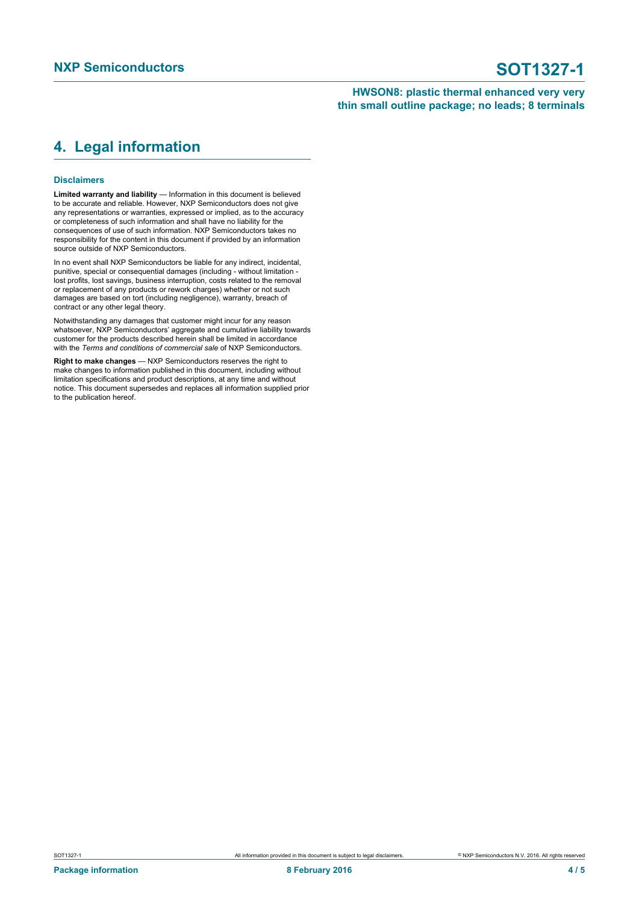## <span id="page-3-0"></span>**4. Legal information**

### **Disclaimers**

**Limited warranty and liability** — Information in this document is believed to be accurate and reliable. However, NXP Semiconductors does not give any representations or warranties, expressed or implied, as to the accuracy or completeness of such information and shall have no liability for the consequences of use of such information. NXP Semiconductors takes no responsibility for the content in this document if provided by an information source outside of NXP Semiconductors.

In no event shall NXP Semiconductors be liable for any indirect, incidental, punitive, special or consequential damages (including - without limitation lost profits, lost savings, business interruption, costs related to the removal or replacement of any products or rework charges) whether or not such damages are based on tort (including negligence), warranty, breach of contract or any other legal theory.

Notwithstanding any damages that customer might incur for any reason whatsoever, NXP Semiconductors' aggregate and cumulative liability towards customer for the products described herein shall be limited in accordance with the *Terms and conditions of commercial sale* of NXP Semiconductors.

**Right to make changes** — NXP Semiconductors reserves the right to make changes to information published in this document, including without limitation specifications and product descriptions, at any time and without notice. This document supersedes and replaces all information supplied prior to the publication hereof.